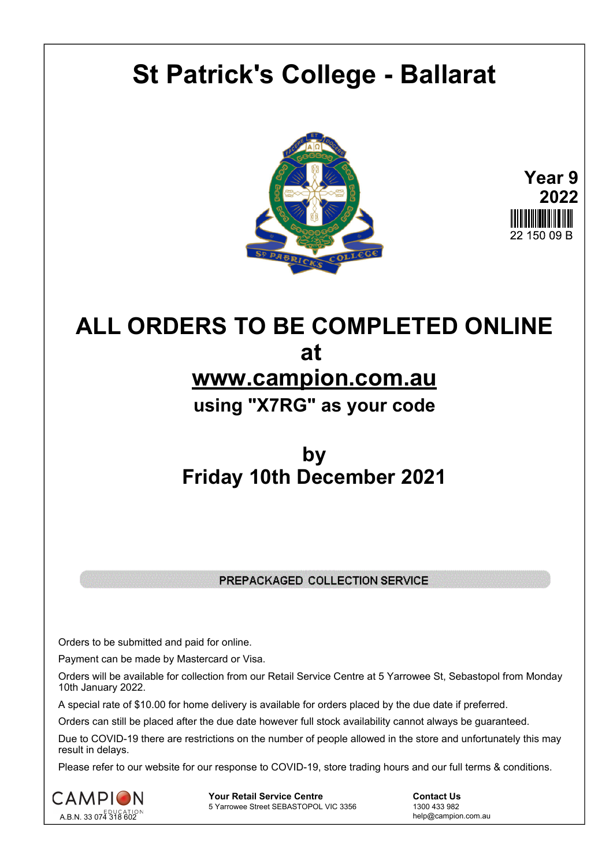# **St Patrick's College - Ballarat**





## **ALL ORDERS TO BE COMPLETED ONLINE at www.campion.com.au using "X7RG" as your code**

### **by Friday 10th December 2021**

### PREPACKAGED COLLECTION SERVICE

Orders to be submitted and paid for online.

Payment can be made by Mastercard or Visa.

Orders will be available for collection from our Retail Service Centre at 5 Yarrowee St, Sebastopol from Monday 10th January 2022.

A special rate of \$10.00 for home delivery is available for orders placed by the due date if preferred.

Orders can still be placed after the due date however full stock availability cannot always be guaranteed.

Due to COVID-19 there are restrictions on the number of people allowed in the store and unfortunately this may result in delays.

Please refer to our website for our response to COVID-19, store trading hours and our full terms & conditions.



**Your Retail Service Centre**  Contact Us<br>
5 Yarrowee Street SEBASTOPOL VIC 3356 1300 433 982 5 Yarrowee Street SEBASTOPOL VIC 3356

help@campion.com.au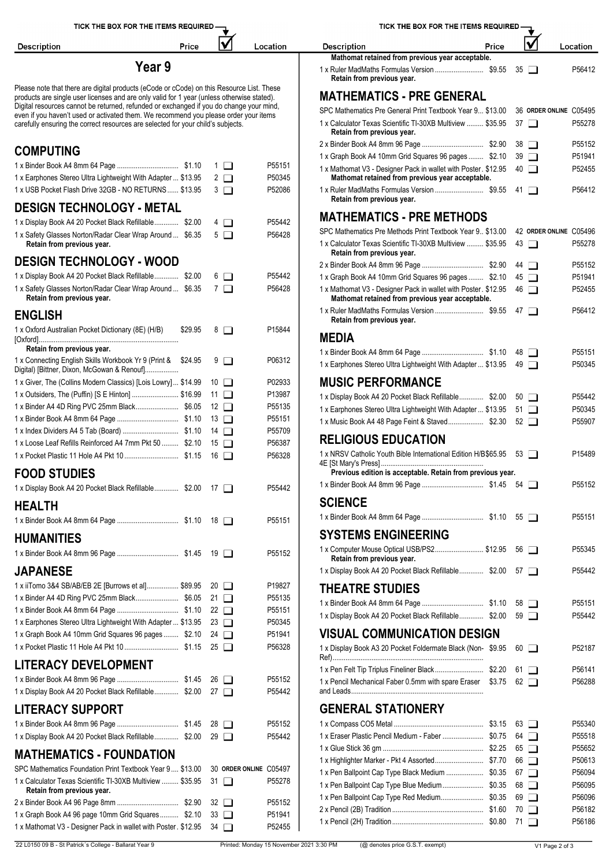| TICK THE BOX FOR THE ITEMS REQUIRED                                                                                                                                                   |         |                          |                        | TICK THE BOX FOR THE ITEMS REQUIRED - |                                                                                                                   |
|---------------------------------------------------------------------------------------------------------------------------------------------------------------------------------------|---------|--------------------------|------------------------|---------------------------------------|-------------------------------------------------------------------------------------------------------------------|
| <b>Description</b>                                                                                                                                                                    | Price   |                          | lV                     | Location                              | V<br>Price<br><b>Description</b><br>Location                                                                      |
| Year 9                                                                                                                                                                                |         |                          |                        |                                       | Mathomat retained from previous year acceptable.<br>P56412<br>$35\Box$                                            |
| Please note that there are digital products (eCode or cCode) on this Resource List. These                                                                                             |         |                          |                        |                                       | Retain from previous year.                                                                                        |
| products are single user licenses and are only valid for 1 year (unless otherwise stated).<br>Digital resources cannot be returned, refunded or exchanged if you do change your mind, |         |                          |                        |                                       | <b>MATHEMATICS - PRE GENERAL</b>                                                                                  |
| even if you haven't used or activated them. We recommend you please order your items                                                                                                  |         |                          |                        |                                       | SPC Mathematics Pre General Print Textbook Year 9 \$13.00<br>36 ORDER ONLINE C05495                               |
| carefully ensuring the correct resources are selected for your child's subjects.                                                                                                      |         |                          |                        |                                       | 1 x Calculator Texas Scientific TI-30XB Multiview  \$35.95<br>P55278<br>$37\Box$<br>Retain from previous year.    |
|                                                                                                                                                                                       |         |                          |                        |                                       | P55152<br>$38$ $\Box$                                                                                             |
| <b>COMPUTING</b>                                                                                                                                                                      |         |                          |                        |                                       | 1 x Graph Book A4 10mm Grid Squares 96 pages  \$2.10<br>P51941<br>$39$ $\Box$                                     |
|                                                                                                                                                                                       |         |                          | $1$ $\Box$             | P55151                                | P52455<br>1 x Mathomat V3 - Designer Pack in wallet with Poster. \$12.95<br>$40$ $\Box$                           |
| 1 x Earphones Stereo Ultra Lightweight With Adapter  \$13.95                                                                                                                          |         |                          | $2\Box$                | P50345                                | Mathomat retained from previous year acceptable.                                                                  |
| 1 x USB Pocket Flash Drive 32GB - NO RETURNS  \$13.95                                                                                                                                 |         |                          | $3\Box$                | P52086                                | P56412<br>Retain from previous year.                                                                              |
| <b>DESIGN TECHNOLOGY - METAL</b>                                                                                                                                                      |         |                          |                        |                                       |                                                                                                                   |
| 1 x Display Book A4 20 Pocket Black Refillable \$2.00                                                                                                                                 |         |                          | $4\Box$                | P55442                                | <b>MATHEMATICS - PRE METHODS</b>                                                                                  |
| 1 x Safety Glasses Norton/Radar Clear Wrap Around  \$6.35                                                                                                                             |         | $5\Box$                  |                        | P56428                                | SPC Mathematics Pre Methods Print Textbook Year 9., \$13.00<br>42 ORDER ONLINE C05496                             |
| Retain from previous year.                                                                                                                                                            |         |                          |                        |                                       | 1 x Calculator Texas Scientific TI-30XB Multiview  \$35.95<br>$43$ $\Box$<br>P55278<br>Retain from previous year. |
| <b>DESIGN TECHNOLOGY - WOOD</b>                                                                                                                                                       |         |                          |                        |                                       | P55152<br>44 □                                                                                                    |
| 1 x Display Book A4 20 Pocket Black Refillable \$2.00                                                                                                                                 |         |                          | $6$ $\Box$             | P55442                                | 1 x Graph Book A4 10mm Grid Squares 96 pages  \$2.10<br>$45\Box$<br>P51941                                        |
| 1 x Safety Glasses Norton/Radar Clear Wrap Around  \$6.35                                                                                                                             |         | $7\Box$                  |                        | P56428                                | P52455<br>1 x Mathomat V3 - Designer Pack in wallet with Poster. \$12.95<br>46 □                                  |
| Retain from previous year.                                                                                                                                                            |         |                          |                        |                                       | Mathomat retained from previous year acceptable.                                                                  |
| <b>ENGLISH</b>                                                                                                                                                                        |         |                          |                        |                                       | P56412<br>Retain from previous year.                                                                              |
| 1 x Oxford Australian Pocket Dictionary (8E) (H/B)                                                                                                                                    | \$29.95 |                          | $8$ $\Box$             | P15844                                | <b>MEDIA</b>                                                                                                      |
| Retain from previous year.                                                                                                                                                            |         |                          |                        |                                       | P55151                                                                                                            |
| 1 x Connecting English Skills Workbook Yr 9 (Print & \$24.95)                                                                                                                         |         |                          | 9 □                    | P06312                                | 1 x Earphones Stereo Ultra Lightweight With Adapter  \$13.95 49<br>P50345                                         |
| Digital) [Bittner, Dixon, McGowan & Renouf]                                                                                                                                           |         |                          |                        |                                       |                                                                                                                   |
| 1 x Giver, The (Collins Modern Classics) [Lois Lowry]  \$14.99                                                                                                                        |         | $10$ $\Box$              |                        | P02933                                | <b>MUSIC PERFORMANCE</b>                                                                                          |
| 1 x Outsiders, The (Puffin) [S E Hinton]  \$16.99                                                                                                                                     |         | 11 $\Box$                |                        | P13987<br>P55135                      | 1 x Display Book A4 20 Pocket Black Refillable \$2.00<br>$50$ $\Box$<br>P55442                                    |
|                                                                                                                                                                                       |         | 12 $\Box$<br>$13$ $\Box$ |                        | P55151                                | 1 x Earphones Stereo Ultra Lightweight With Adapter  \$13.95<br>P50345<br>51 $\Box$                               |
|                                                                                                                                                                                       |         | 14 $\Box$                |                        | P55709                                | 1 x Music Book A4 48 Page Feint & Staved \$2.30<br>P55907<br>$52 \Box$                                            |
| 1 x Loose Leaf Refills Reinforced A4 7mm Pkt 50  \$2.10 15                                                                                                                            |         |                          |                        | P56387                                | <b>RELIGIOUS EDUCATION</b>                                                                                        |
|                                                                                                                                                                                       |         |                          |                        | P56328                                | 1 x NRSV Catholic Youth Bible International Edition H/B \$65.95 53<br>P15489                                      |
| <b>FOOD STUDIES</b>                                                                                                                                                                   |         |                          |                        |                                       | Previous edition is acceptable. Retain from previous year.                                                        |
|                                                                                                                                                                                       |         |                          |                        |                                       | P55152                                                                                                            |
| 1 x Display Book A4 20 Pocket Black Refillable \$2.00 17                                                                                                                              |         |                          |                        | P55442                                |                                                                                                                   |
| <b>HEALTH</b>                                                                                                                                                                         |         |                          |                        |                                       | <b>SCIENCE</b><br>P55151                                                                                          |
|                                                                                                                                                                                       |         |                          |                        | P55151                                |                                                                                                                   |
| <b>HUMANITIES</b>                                                                                                                                                                     |         |                          |                        |                                       | <b>SYSTEMS ENGINEERING</b>                                                                                        |
|                                                                                                                                                                                       |         |                          |                        | P55152                                | 1 x Computer Mouse Optical USB/PS2 \$12.95<br>P55345<br>56 □<br>Retain from previous year.                        |
| <b>JAPANESE</b>                                                                                                                                                                       |         |                          |                        |                                       | 1 x Display Book A4 20 Pocket Black Refillable \$2.00<br>P55442<br>57 T                                           |
| 1 x iiTomo 3&4 SB/AB/EB 2E [Burrows et al] \$89.95 20 □                                                                                                                               |         |                          |                        | P19827                                | <b>THEATRE STUDIES</b>                                                                                            |
|                                                                                                                                                                                       |         | 21 $\Box$                |                        | P55135                                |                                                                                                                   |
|                                                                                                                                                                                       |         | 22 $\Box$                |                        | P55151                                | P55151<br>$58$ $\Box$<br>1 x Display Book A4 20 Pocket Black Refillable \$2.00<br>P55442                          |
| 1 x Earphones Stereo Ultra Lightweight With Adapter  \$13.95                                                                                                                          |         | 23 $\Box$                |                        | P50345                                | $59$ $\Box$                                                                                                       |
| 1 x Graph Book A4 10mm Grid Squares 96 pages  \$2.10 24                                                                                                                               |         |                          |                        | P51941                                | <b>VISUAL COMMUNICATION DESIGN</b>                                                                                |
|                                                                                                                                                                                       |         |                          |                        | P56328                                | 1 x Display Book A3 20 Pocket Foldermate Black (Non-\$9.95<br>P52187<br>$60$ $\Box$                               |
| <b>LITERACY DEVELOPMENT</b>                                                                                                                                                           |         |                          |                        |                                       | 1 x Pen Felt Tip Triplus Fineliner Black\$2.20<br>P56141<br>$61$ $\Box$                                           |
|                                                                                                                                                                                       |         |                          |                        | P55152                                | 1 x Pencil Mechanical Faber 0.5mm with spare Eraser \$3.75 62<br>P56288                                           |
| 1 x Display Book A4 20 Pocket Black Refillable \$2.00 27                                                                                                                              |         |                          |                        | P55442                                |                                                                                                                   |
| <b>LITERACY SUPPORT</b>                                                                                                                                                               |         |                          |                        |                                       | <b>GENERAL STATIONERY</b>                                                                                         |
|                                                                                                                                                                                       |         |                          |                        | P55152                                | P55340<br>$63$ $\Box$                                                                                             |
| 1 x Display Book A4 20 Pocket Black Refillable \$2.00 29                                                                                                                              |         |                          |                        | P55442                                | P55518<br>64 $\Box$                                                                                               |
| <b>MATHEMATICS - FOUNDATION</b>                                                                                                                                                       |         |                          |                        |                                       | P55652<br>$65$ $\Box$                                                                                             |
| SPC Mathematics Foundation Print Textbook Year 9 \$13.00                                                                                                                              |         |                          | 30 ORDER ONLINE C05497 |                                       | 66 □<br>P50613                                                                                                    |
| 1 x Calculator Texas Scientific TI-30XB Multiview  \$35.95 31                                                                                                                         |         |                          |                        | P55278                                | P56094<br>1 x Pen Ballpoint Cap Type Black Medium  \$0.35<br>67 $\Box$                                            |
| Retain from previous year.                                                                                                                                                            |         |                          |                        |                                       | 1 x Pen Ballpoint Cap Type Blue Medium \$0.35<br>P56095<br>68 □                                                   |
|                                                                                                                                                                                       |         | 32 $\Box$                |                        | P55152                                | 1 x Pen Ballpoint Cap Type Red Medium \$0.35<br>P56096<br>$69$ $\Box$                                             |
| 1 x Graph Book A4 96 page 10mm Grid Squares \$2.10                                                                                                                                    |         | $33$ $\Box$              |                        | P51941                                | P56182<br>70 □                                                                                                    |
| 1 x Mathomat V3 - Designer Pack in wallet with Poster. \$12.95 34                                                                                                                     |         |                          |                        | P52455                                | P56186<br>71 □                                                                                                    |

| TICK THE BOX FOR THE ITEMS REQUIRED-                                                                               |        |                       |                        |                    |
|--------------------------------------------------------------------------------------------------------------------|--------|-----------------------|------------------------|--------------------|
| <b>Description</b><br>Price                                                                                        |        |                       |                        | Location           |
| Mathomat retained from previous year acceptable.                                                                   | 35     |                       |                        | P56412             |
| Retain from previous year.                                                                                         |        |                       |                        |                    |
| <b>MATHEMATICS - PRE GENERAL</b>                                                                                   |        |                       |                        |                    |
| SPC Mathematics Pre General Print Textbook Year 9 \$13.00                                                          |        |                       | 36 ORDER ONLINE C05495 |                    |
| 1 x Calculator Texas Scientific TI-30XB Multiview  \$35.95<br>Retain from previous year.                           |        | 37 I                  |                        | P55278             |
|                                                                                                                    | 38     | $\mathbf{I}$          |                        | P55152             |
| 1 x Graph Book A4 10mm Grid Squares 96 pages  \$2.10                                                               |        | $39$ $\Box$           |                        | P51941             |
| 1 x Mathomat V3 - Designer Pack in wallet with Poster. \$12.95<br>Mathomat retained from previous year acceptable. | 40     | □                     |                        | P52455             |
| 1 x Ruler MadMaths Formulas Version  \$9.55<br>Retain from previous year.                                          | 41     | $\mathbf{I}$          |                        | P56412             |
| <b>MATHEMATICS - PRE METHODS</b>                                                                                   |        |                       |                        |                    |
| SPC Mathematics Pre Methods Print Textbook Year 9., \$13.00                                                        |        |                       | 42 ORDER ONLINE C05496 |                    |
| 1 x Calculator Texas Scientific TI-30XB Multiview  \$35.95<br>Retain from previous year.                           |        | $43$ $\Box$           |                        | P55278             |
|                                                                                                                    | 44     | $\mathbf{I}$          |                        | P55152             |
| 1 x Graph Book A4 10mm Grid Squares 96 pages  \$2.10                                                               |        | 45 <b>I</b>           |                        | P51941             |
| 1 x Mathomat V3 - Designer Pack in wallet with Poster. \$12.95<br>Mathomat retained from previous year acceptable. |        | 46 ∩                  |                        | P52455             |
| 1 x Ruler MadMaths Formulas Version  \$9.55<br>Retain from previous year.                                          | 47     | $\mathbf{I}$          |                        | P56412             |
| <b>MEDIA</b>                                                                                                       |        |                       |                        |                    |
|                                                                                                                    |        | 48 I I                |                        | P <sub>55151</sub> |
| 1 x Earphones Stereo Ultra Lightweight With Adapter  \$13.95                                                       |        | 49 1                  |                        | P50345             |
| <b>MUSIC PERFORMANCE</b>                                                                                           |        |                       |                        |                    |
| 1 x Display Book A4 20 Pocket Black Refillable \$2.00                                                              |        | 50 I I                |                        | P55442             |
| 1 x Earphones Stereo Ultra Lightweight With Adapter  \$13.95                                                       |        | 51 $\Box$             |                        | P50345             |
| 1 x Music Book A4 48 Page Feint & Staved \$2.30                                                                    |        | 52 $\Box$             |                        | P55907             |
| <b>RELIGIOUS EDUCATION</b>                                                                                         |        |                       |                        |                    |
| 1 x NRSV Catholic Youth Bible International Edition H/B\$65.95                                                     |        | $53$ $\Box$           |                        | P15489             |
| Previous edition is acceptable. Retain from previous year.                                                         |        |                       |                        |                    |
|                                                                                                                    |        |                       |                        | P55152             |
| <b>SCIENCE</b>                                                                                                     |        |                       |                        |                    |
|                                                                                                                    |        | $55$ $\Box$           |                        | P55151             |
| <b>SYSTEMS ENGINEERING</b>                                                                                         |        |                       |                        |                    |
| 1 x Computer Mouse Optical USB/PS2 \$12.95                                                                         |        | $56$ $\Box$           |                        | P55345             |
| Retain from previous year.                                                                                         |        |                       |                        |                    |
| 1 x Display Book A4 20 Pocket Black Refillable \$2.00                                                              |        | 57 $\Box$             |                        | P55442             |
| <b>THEATRE STUDIES</b>                                                                                             |        |                       |                        |                    |
|                                                                                                                    |        | 58 $\Box$             |                        | P55151             |
| 1 x Display Book A4 20 Pocket Black Refillable \$2.00                                                              |        | $59$ $\Box$           |                        | P55442             |
| <b>VISUAL COMMUNICATION DESIGN</b>                                                                                 |        |                       |                        |                    |
| 1 x Display Book A3 20 Pocket Foldermate Black (Non-\$9.95                                                         |        | 60 LI                 |                        | P52187             |
| 1 x Pen Felt Tip Triplus Fineliner Black \$2.20                                                                    | 61     | $\blacksquare$        |                        | P56141             |
| 1 x Pencil Mechanical Faber 0.5mm with spare Eraser                                                                | \$3.75 | $62$ $\Box$           |                        | P56288             |
|                                                                                                                    |        |                       |                        |                    |
| <b>GENERAL STATIONERY</b>                                                                                          |        |                       |                        |                    |
|                                                                                                                    |        | $63$ $\Box$           |                        | P55340             |
| 1 x Eraser Plastic Pencil Medium - Faber  \$0.75                                                                   |        | 64 I D                |                        | P55518             |
| 1 x Highlighter Marker - Pkt 4 Assorted \$7.70                                                                     |        | $65$ $\Box$<br>66 I D |                        | P55652<br>P50613   |
| 1 x Pen Ballpoint Cap Type Black Medium  \$0.35                                                                    |        | 67 $\Box$             |                        | P56094             |
| 1 x Pen Ballpoint Cap Type Blue Medium \$0.35                                                                      |        | 68 □                  |                        | P56095             |
| 1 x Pen Ballpoint Cap Type Red Medium \$0.35                                                                       |        | $69$ $\Box$           |                        | P56096             |
|                                                                                                                    |        | 70 □                  |                        | P56182             |
|                                                                                                                    |        |                       |                        |                    |